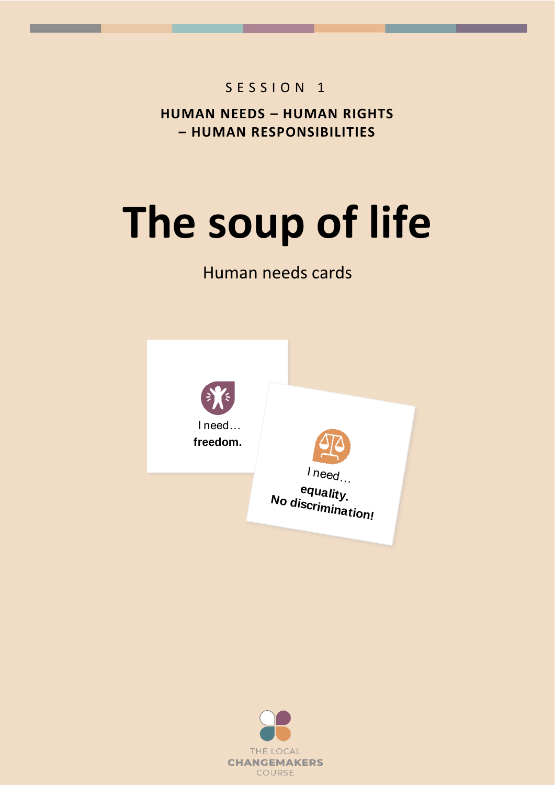## S E S S I O N 1

**HUMAN NEEDS – HUMAN RIGHTS – HUMAN RESPONSIBILITIES**

## **The soup of life**

## Human needs cards



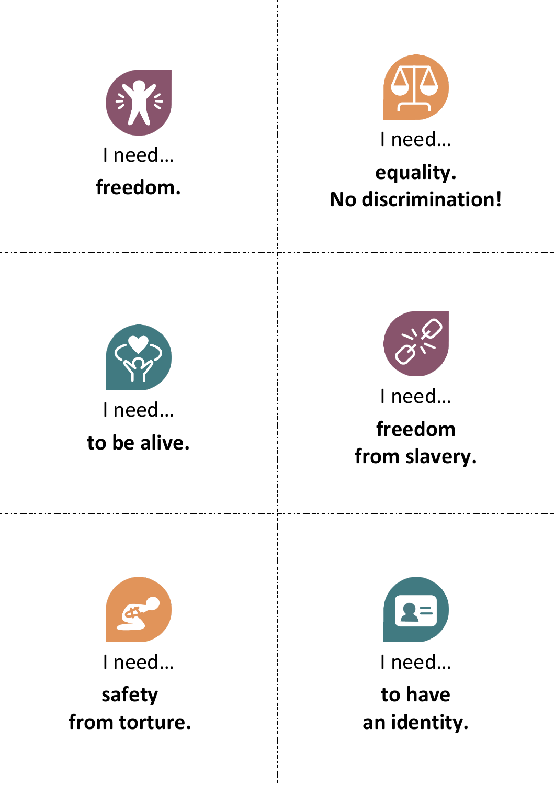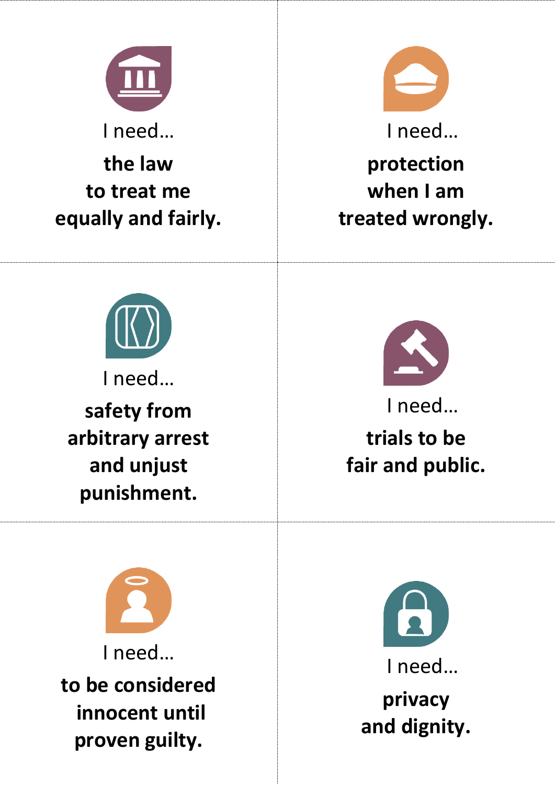

I need…

**the law to treat me equally and fairly.**



I need…

**protection when I am treated wrongly.**



I need…

**safety from arbitrary arrest and unjust punishment.**



I need… **trials to be fair and public.**

I need… **to be considered innocent until proven guilty.**

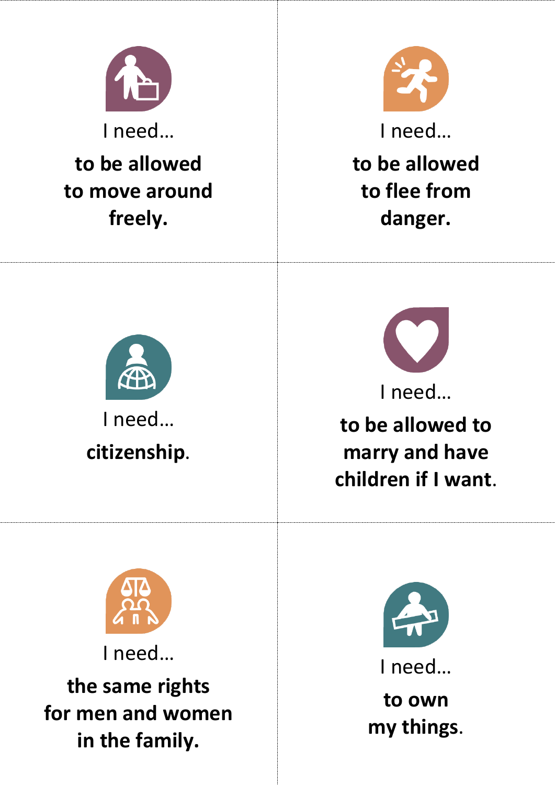

I need…

**to be allowed to move around freely.**



I need… **to be allowed to flee from danger.**





**to be allowed to marry and have children if I want**.



I need…

**the same rights for men and women in the family.**



I need…

**to own my things**.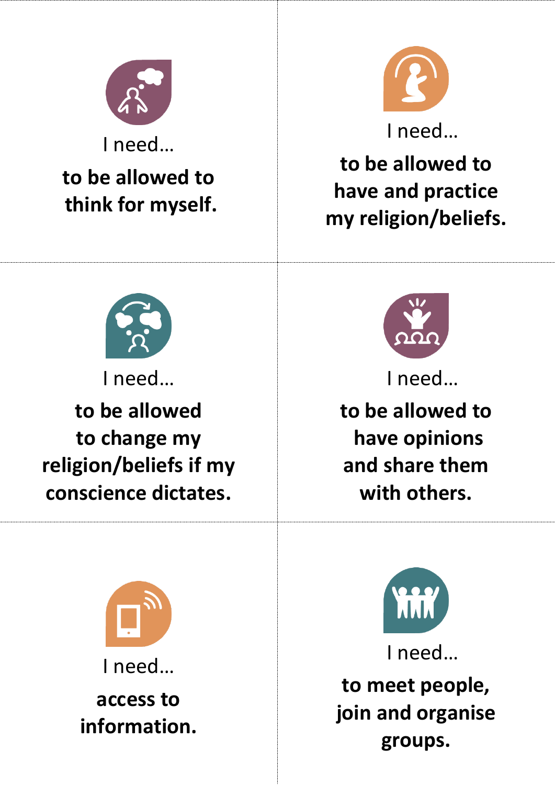

I need…

## **to be allowed to think for myself.**



**to be allowed to have and practice my religion/beliefs.**



I need…

**to be allowed to change my religion/beliefs if my conscience dictates.**



I need…

**to be allowed to have opinions and share them with others.**



I need…

**access to information.**



I need… **to meet people, join and organise groups.**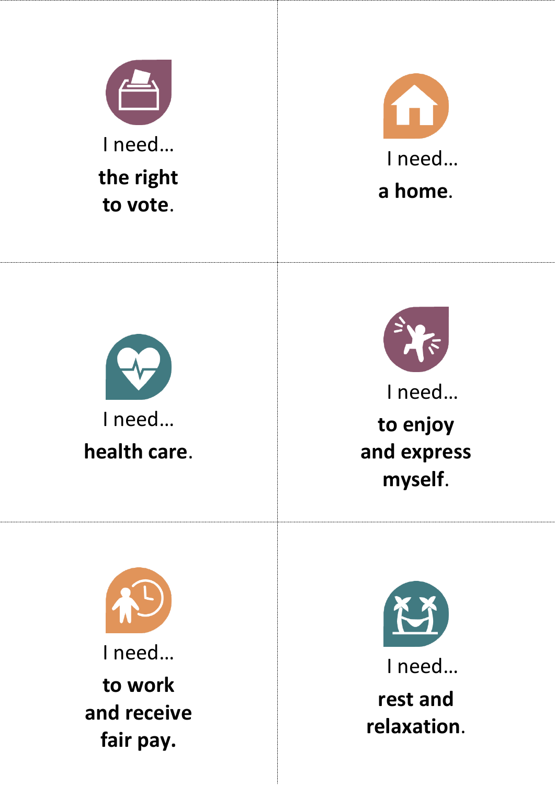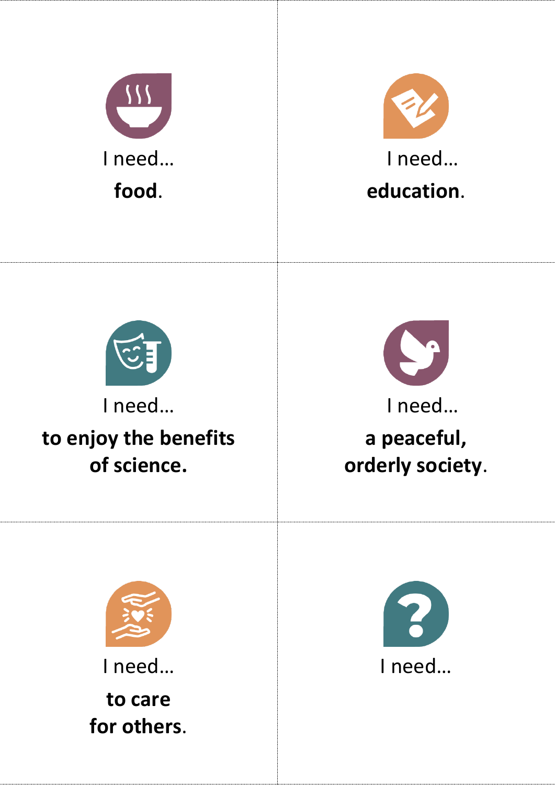